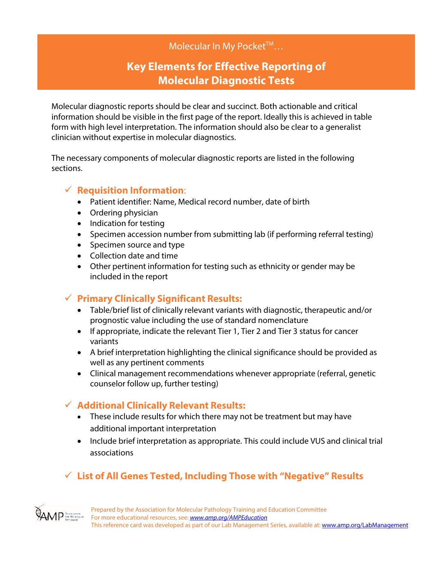## Molecular In My Pocket™...

# **Key Elements for Effective Reporting of Molecular Diagnostic Tests**

Molecular diagnostic reports should be clear and succinct. Both actionable and critical information should be visible in the first page of the report. Ideally this is achieved in table form with high level interpretation. The information should also be clear to a generalist clinician without expertise in molecular diagnostics.

The necessary components of molecular diagnostic reports are listed in the following sections.

### **Requisition Information**:

- Patient identifier: Name, Medical record number, date of birth
- Ordering physician
- Indication for testing
- Specimen accession number from submitting lab (if performing referral testing)
- Specimen source and type
- Collection date and time
- Other pertinent information for testing such as ethnicity or gender may be included in the report

## **Primary Clinically Significant Results:**

- Table/brief list of clinically relevant variants with diagnostic, therapeutic and/or prognostic value including the use of standard nomenclature
- If appropriate, indicate the relevant Tier 1, Tier 2 and Tier 3 status for cancer variants
- A brief interpretation highlighting the clinical significance should be provided as well as any pertinent comments
- Clinical management recommendations whenever appropriate (referral, genetic counselor follow up, further testing)

## **Additional Clinically Relevant Results:**

- These include results for which there may not be treatment but may have additional important interpretation
- Include brief interpretation as appropriate. This could include VUS and clinical trial associations

## **List of All Genes Tested, Including Those with "Negative" Results**